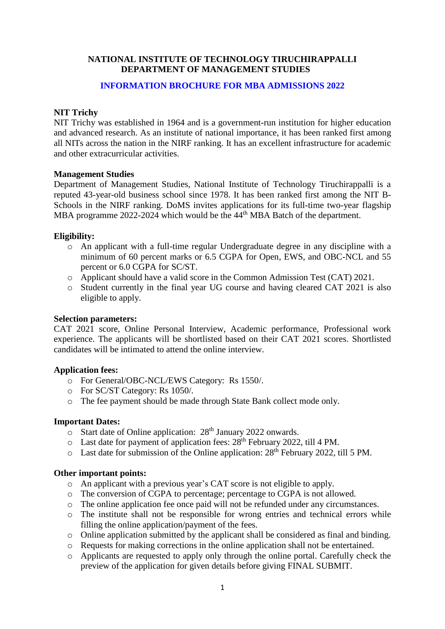# **NATIONAL INSTITUTE OF TECHNOLOGY TIRUCHIRAPPALLI DEPARTMENT OF MANAGEMENT STUDIES**

# **INFORMATION BROCHURE FOR MBA ADMISSIONS 2022**

# **NIT Trichy**

NIT Trichy was established in 1964 and is a government-run institution for higher education and advanced research. As an institute of national importance, it has been ranked first among all NITs across the nation in the NIRF ranking. It has an excellent infrastructure for academic and other extracurricular activities.

# **Management Studies**

Department of Management Studies, National Institute of Technology Tiruchirappalli is a reputed 43-year-old business school since 1978. It has been ranked first among the NIT B-Schools in the NIRF ranking. DoMS invites applications for its full-time two-year flagship MBA programme 2022-2024 which would be the 44<sup>th</sup> MBA Batch of the department.

### **Eligibility:**

- o An applicant with a full-time regular Undergraduate degree in any discipline with a minimum of 60 percent marks or 6.5 CGPA for Open, EWS, and OBC-NCL and 55 percent or 6.0 CGPA for SC/ST.
- o Applicant should have a valid score in the Common Admission Test (CAT) 2021.
- o Student currently in the final year UG course and having cleared CAT 2021 is also eligible to apply.

# **Selection parameters:**

CAT 2021 score, Online Personal Interview, Academic performance, Professional work experience. The applicants will be shortlisted based on their CAT 2021 scores. Shortlisted candidates will be intimated to attend the online interview.

# **Application fees:**

- o For General/OBC-NCL/EWS Category: Rs 1550/.
- o For SC/ST Category: Rs 1050/.
- o The fee payment should be made through State Bank collect mode only.

# **Important Dates:**

- o Start date of Online application: 28<sup>th</sup> January 2022 onwards.
- $\circ$  Last date for payment of application fees: 28<sup>th</sup> February 2022, till 4 PM.
- $\circ$  Last date for submission of the Online application: 28<sup>th</sup> February 2022, till 5 PM.

# **Other important points:**

- o An applicant with a previous year's CAT score is not eligible to apply.
- o The conversion of CGPA to percentage; percentage to CGPA is not allowed.
- o The online application fee once paid will not be refunded under any circumstances.
- o The institute shall not be responsible for wrong entries and technical errors while filling the online application/payment of the fees.
- o Online application submitted by the applicant shall be considered as final and binding.
- o Requests for making corrections in the online application shall not be entertained.
- o Applicants are requested to apply only through the online portal. Carefully check the preview of the application for given details before giving FINAL SUBMIT.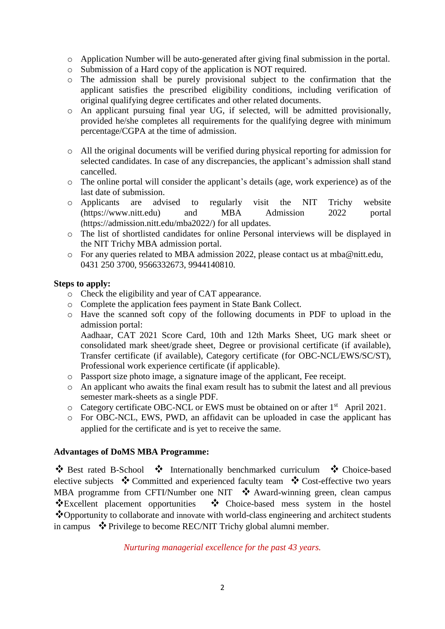- o Application Number will be auto-generated after giving final submission in the portal.
- o Submission of a Hard copy of the application is NOT required.
- o The admission shall be purely provisional subject to the confirmation that the applicant satisfies the prescribed eligibility conditions, including verification of original qualifying degree certificates and other related documents.
- o An applicant pursuing final year UG, if selected, will be admitted provisionally, provided he/she completes all requirements for the qualifying degree with minimum percentage/CGPA at the time of admission.
- o All the original documents will be verified during physical reporting for admission for selected candidates. In case of any discrepancies, the applicant's admission shall stand cancelled.
- o The online portal will consider the applicant's details (age, work experience) as of the last date of submission.
- o Applicants are advised to regularly visit the NIT Trichy website (https://www.nitt.edu) and MBA Admission 2022 portal (https://admission.nitt.edu/mba2022/) for all updates.
- o The list of shortlisted candidates for online Personal interviews will be displayed in the NIT Trichy MBA admission portal.
- o For any queries related to MBA admission 2022, please contact us at [mba@nitt.edu,](mailto:mba@nitt.edu) 0431 250 3700, 9566332673, 9944140810.

# **Steps to apply:**

- o Check the eligibility and year of CAT appearance.
- o Complete the application fees payment in State Bank Collect.
- o Have the scanned soft copy of the following documents in PDF to upload in the admission portal: Aadhaar, CAT 2021 Score Card, 10th and 12th Marks Sheet, UG mark sheet or consolidated mark sheet/grade sheet, Degree or provisional certificate (if available), Transfer certificate (if available), Category certificate (for OBC-NCL/EWS/SC/ST), Professional work experience certificate (if applicable).
- o Passport size photo image, a signature image of the applicant, Fee receipt.
- o An applicant who awaits the final exam result has to submit the latest and all previous semester mark-sheets as a single PDF.
- o Category certificate OBC-NCL or EWS must be obtained on or after 1<sup>st</sup> April 2021.
- o For OBC-NCL, EWS, PWD, an affidavit can be uploaded in case the applicant has applied for the certificate and is yet to receive the same.

# **Advantages of DoMS MBA Programme:**

 $\bullet$  Best rated B-School  $\bullet$  Internationally benchmarked curriculum  $\bullet$  Choice-based elective subjects  $\cdot \cdot$  Committed and experienced faculty team  $\cdot \cdot$  Cost-effective two years MBA programme from CFTI/Number one NIT  $\cdot$  Award-winning green, clean campus \*Excellent placement opportunities \* Choice-based mess system in the hostel \*Opportunity to collaborate and innovate with world-class engineering and architect students in campus  $\bullet$  Privilege to become REC/NIT Trichy global alumni member.

*Nurturing managerial excellence for the past 43 years.*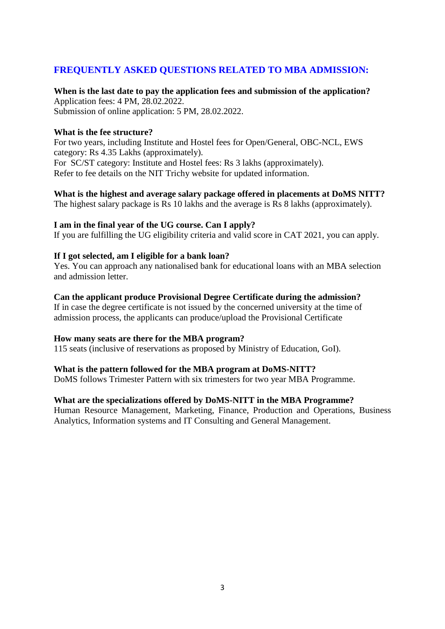# **FREQUENTLY ASKED QUESTIONS RELATED TO MBA ADMISSION:**

# **When is the last date to pay the application fees and submission of the application?** Application fees: 4 PM, 28.02.2022.

Submission of online application: 5 PM, 28.02.2022.

### **What is the fee structure?**

For two years, including Institute and Hostel fees for Open/General, OBC-NCL, EWS category: Rs 4.35 Lakhs (approximately). For SC/ST category: Institute and Hostel fees: Rs 3 lakhs (approximately). Refer to fee details on the NIT Trichy website for updated information.

# **What is the highest and average salary package offered in placements at DoMS NITT?**

The highest salary package is Rs 10 lakhs and the average is Rs 8 lakhs (approximately).

# **I am in the final year of the UG course. Can I apply?**

If you are fulfilling the UG eligibility criteria and valid score in CAT 2021, you can apply.

### **If I got selected, am I eligible for a bank loan?**

Yes. You can approach any nationalised bank for educational loans with an MBA selection and admission letter.

# **Can the applicant produce Provisional Degree Certificate during the admission?**

If in case the degree certificate is not issued by the concerned university at the time of admission process, the applicants can produce/upload the Provisional Certificate

# **How many seats are there for the MBA program?**

115 seats (inclusive of reservations as proposed by Ministry of Education, GoI).

# **What is the pattern followed for the MBA program at DoMS-NITT?**

DoMS follows Trimester Pattern with six trimesters for two year MBA Programme.

# **What are the specializations offered by DoMS-NITT in the MBA Programme?**

Human Resource Management, Marketing, Finance, Production and Operations, Business Analytics, Information systems and IT Consulting and General Management.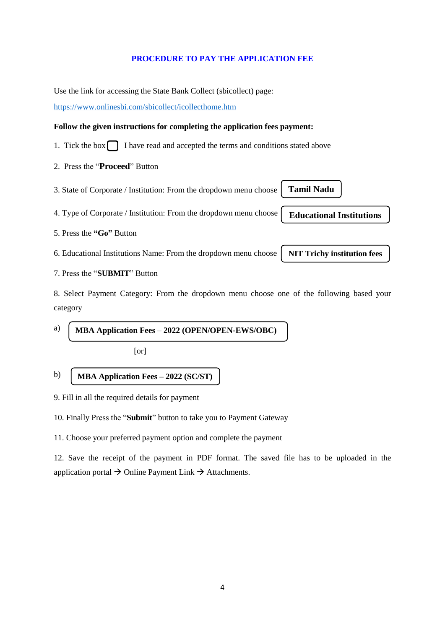#### **PROCEDURE TO PAY THE APPLICATION FEE**

Use the link for accessing the State Bank Collect (sbicollect) page:

<https://www.onlinesbi.com/sbicollect/icollecthome.htm>

#### **Follow the given instructions for completing the application fees payment:**

- 1. Tick the box  $\bigcap$  I have read and accepted the terms and conditions stated above
- 2. Press the "**Proceed**" Button
- 3. State of Corporate / Institution: From the dropdown menu choose

4. Type of Corporate / Institution: From the dropdown menu choose

5. Press the **"Go"** Button

6. Educational Institutions Name: From the dropdown menu choose

7. Press the "**SUBMIT**" Button

8. Select Payment Category: From the dropdown menu choose one of the following based your category

a) **MBA Application Fees – 2022 (OPEN/OPEN-EWS/OBC)**

[or]

#### b) **MBA Application Fees – 2022 (SC/ST)**

9. Fill in all the required details for payment

10. Finally Press the "**Submit**" button to take you to Payment Gateway

11. Choose your preferred payment option and complete the payment

12. Save the receipt of the payment in PDF format. The saved file has to be uploaded in the application portal  $\rightarrow$  Online Payment Link  $\rightarrow$  Attachments.

4

**Tamil Nadu**

**Educational Institutions**

**NIT Trichy institution fees**